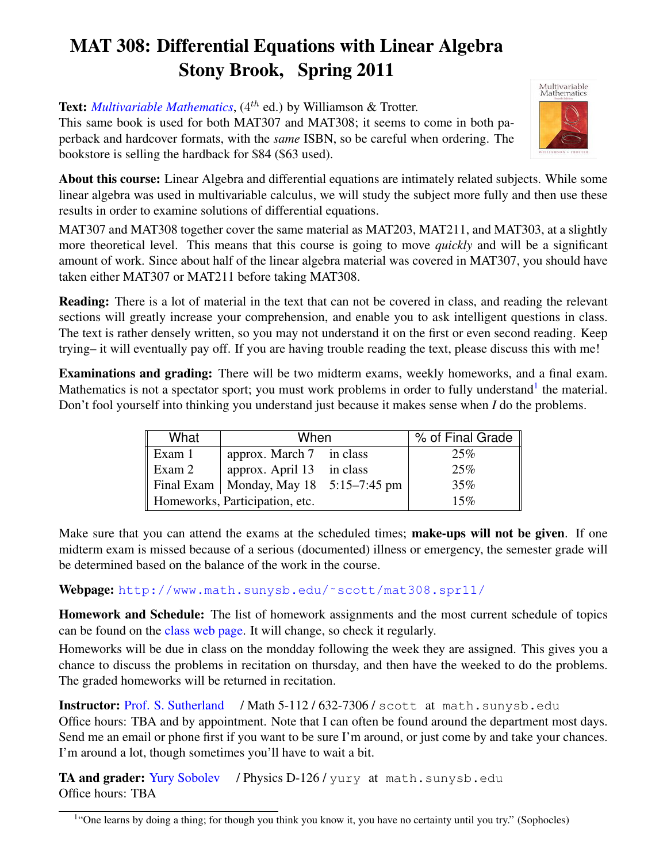## MAT 308: Differential Equations with Linear Algebra Stony Brook, Spring 2011

Text: *[Multivariable Mathematics](http://www.addall.com/New/compare.cgi?isbn=0130672769&state=NY)*, (4<sup>th</sup> ed.) by Williamson & Trotter.

This same book is used for both MAT307 and MAT308; it seems to come in both paperback and hardcover formats, with the *same* ISBN, so be careful when ordering. The bookstore is selling the hardback for \$84 (\$63 used).



About this course: Linear Algebra and differential equations are intimately related subjects. While some linear algebra was used in multivariable calculus, we will study the subject more fully and then use these results in order to examine solutions of differential equations.

MAT307 and MAT308 together cover the same material as MAT203, MAT211, and MAT303, at a slightly more theoretical level. This means that this course is going to move *quickly* and will be a significant amount of work. Since about half of the linear algebra material was covered in MAT307, you should have taken either MAT307 or MAT211 before taking MAT308.

Reading: There is a lot of material in the text that can not be covered in class, and reading the relevant sections will greatly increase your comprehension, and enable you to ask intelligent questions in class. The text is rather densely written, so you may not understand it on the first or even second reading. Keep trying– it will eventually pay off. If you are having trouble reading the text, please discuss this with me!

Examinations and grading: There will be two midterm exams, weekly homeworks, and a final exam. Mathematics is not a spectator sport; you must work problems in order to fully understand<sup>[1](#page-0-0)</sup> the material. Don't fool yourself into thinking you understand just because it makes sense when *I* do the problems.

| What                           | When                                       |  | % of Final Grade $\parallel$ |
|--------------------------------|--------------------------------------------|--|------------------------------|
| Exam 1                         | approx. March 7 in class                   |  | 25%                          |
| Exam 2                         | approx. April 13 in class                  |  | 25%                          |
|                                | Final Exam   Monday, May 18 $5:15-7:45$ pm |  | 35%                          |
| Homeworks, Participation, etc. |                                            |  | 15%                          |

Make sure that you can attend the exams at the scheduled times; make-ups will not be given. If one midterm exam is missed because of a serious (documented) illness or emergency, the semester grade will be determined based on the balance of the work in the course.

## Webpage: [http://www.math.sunysb.edu/˜scott/mat308.spr11/](http://www.math.sunysb.edu/~scott/mat308.spr11/)

Homework and Schedule: The list of homework assignments and the most current schedule of topics can be found on the [class web page.](http://www.math.sunysb.edu/~scott/mat308.spr11/schedule/) It will change, so check it regularly.

Homeworks will be due in class on the mondday following the week they are assigned. This gives you a chance to discuss the problems in recitation on thursday, and then have the weeked to do the problems. The graded homeworks will be returned in recitation.

Instructor: [Prof. S. Sutherland](http://www.math.sunysb.edu/~scott) / Math 5-112/632-7306/scott at math.sunysb.edu Office hours: TBA and by appointment. Note that I can often be found around the department most days. Send me an email or phone first if you want to be sure I'm around, or just come by and take your chances. I'm around a lot, though sometimes you'll have to wait a bit.

TA and grader: [Yury Sobolev](http://www.math.sunysb.edu/~yury) / Physics D-126 / yury at math.sunysb.edu Office hours: TBA

<span id="page-0-0"></span><sup>&</sup>lt;sup>1</sup>"One learns by doing a thing; for though you think you know it, you have no certainty until you try." (Sophocles)